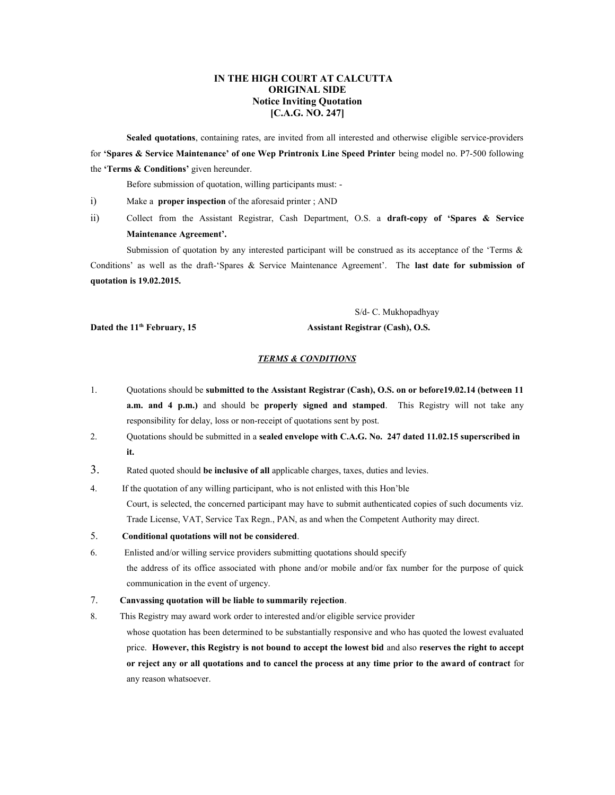## **IN THE HIGH COURT AT CALCUTTA ORIGINAL SIDE Notice Inviting Quotation [C.A.G. NO. 247]**

**Sealed quotations**, containing rates, are invited from all interested and otherwise eligible service-providers for **'Spares & Service Maintenance' of one Wep Printronix Line Speed Printer** being model no. P7-500 following the **'Terms & Conditions'** given hereunder.

Before submission of quotation, willing participants must: -

i) Make a **proper inspection** of the aforesaid printer ; AND

ii) Collect from the Assistant Registrar, Cash Department, O.S. a **draft-copy of 'Spares & Service Maintenance Agreement'.**

Submission of quotation by any interested participant will be construed as its acceptance of the 'Terms  $\&$ Conditions' as well as the draft-'Spares & Service Maintenance Agreement'. The **last date for submission of quotation is 19.02.2015.**

S/d- C. Mukhopadhyay

## Dated the 11<sup>th</sup> February, 15 Assistant Registrar (Cash), O.S.

## *TERMS & CONDITIONS*

- 1. Quotations should be **submitted to the Assistant Registrar (Cash), O.S. on or before19.02.14 (between 11 a.m. and 4 p.m.)** and should be **properly signed and stamped**. This Registry will not take any responsibility for delay, loss or non-receipt of quotations sent by post.
- 2. Quotations should be submitted in a **sealed envelope with C.A.G. No. 247 dated 11.02.15 superscribed in it.**
- 3. Rated quoted should **be inclusive of all** applicable charges, taxes, duties and levies.
- 4. If the quotation of any willing participant, who is not enlisted with this Hon'ble Court, is selected, the concerned participant may have to submit authenticated copies of such documents viz. Trade License, VAT, Service Tax Regn., PAN, as and when the Competent Authority may direct.
- 5. **Conditional quotations will not be considered**.
- 6. Enlisted and/or willing service providers submitting quotations should specify the address of its office associated with phone and/or mobile and/or fax number for the purpose of quick communication in the event of urgency.
- 7. **Canvassing quotation will be liable to summarily rejection**.
- 8. This Registry may award work order to interested and/or eligible service provider

whose quotation has been determined to be substantially responsive and who has quoted the lowest evaluated price. **However, this Registry is not bound to accept the lowest bid** and also **reserves the right to accept or reject any or all quotations and to cancel the process at any time prior to the award of contract** for any reason whatsoever.